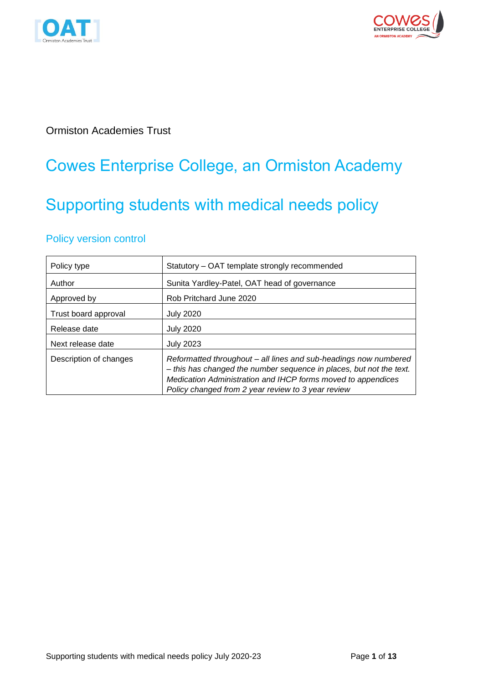



### Ormiston Academies Trust

## Cowes Enterprise College, an Ormiston Academy

# Supporting students with medical needs policy

### Policy version control

| Policy type            | Statutory - OAT template strongly recommended                                                                                                                                                                                                                 |  |
|------------------------|---------------------------------------------------------------------------------------------------------------------------------------------------------------------------------------------------------------------------------------------------------------|--|
| Author                 | Sunita Yardley-Patel, OAT head of governance                                                                                                                                                                                                                  |  |
| Approved by            | Rob Pritchard June 2020                                                                                                                                                                                                                                       |  |
| Trust board approval   | <b>July 2020</b>                                                                                                                                                                                                                                              |  |
| Release date           | <b>July 2020</b>                                                                                                                                                                                                                                              |  |
| Next release date      | <b>July 2023</b>                                                                                                                                                                                                                                              |  |
| Description of changes | Reformatted throughout – all lines and sub-headings now numbered<br>- this has changed the number sequence in places, but not the text.<br>Medication Administration and IHCP forms moved to appendices<br>Policy changed from 2 year review to 3 year review |  |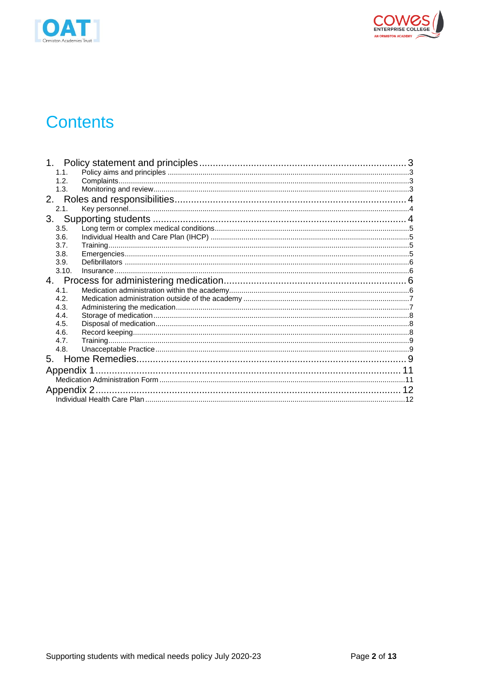



## **Contents**

| 1.1.  |             |  |  |
|-------|-------------|--|--|
| 1.2.  |             |  |  |
| 1.3.  |             |  |  |
|       |             |  |  |
| 2.1.  |             |  |  |
|       |             |  |  |
| 3.5.  |             |  |  |
| 3.6.  |             |  |  |
| 3.7.  |             |  |  |
| 3.8.  |             |  |  |
| 3.9.  |             |  |  |
| 3.10. |             |  |  |
|       |             |  |  |
| 4.1.  |             |  |  |
| 4.2.  |             |  |  |
| 4.3.  |             |  |  |
| 4.4.  |             |  |  |
| 4.5.  |             |  |  |
| 4.6.  |             |  |  |
| 4.7.  |             |  |  |
| 4.8.  |             |  |  |
|       |             |  |  |
|       |             |  |  |
|       |             |  |  |
|       | Appendix 2. |  |  |
|       |             |  |  |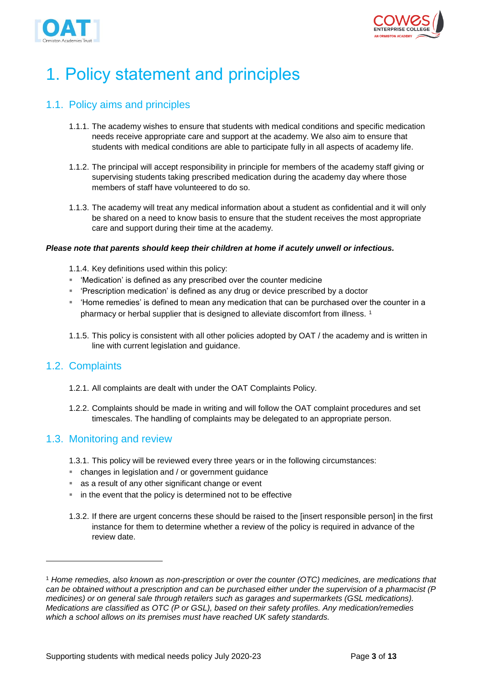



# <span id="page-2-0"></span>1. Policy statement and principles

### <span id="page-2-1"></span>1.1. Policy aims and principles

- 1.1.1. The academy wishes to ensure that students with medical conditions and specific medication needs receive appropriate care and support at the academy. We also aim to ensure that students with medical conditions are able to participate fully in all aspects of academy life.
- 1.1.2. The principal will accept responsibility in principle for members of the academy staff giving or supervising students taking prescribed medication during the academy day where those members of staff have volunteered to do so.
- 1.1.3. The academy will treat any medical information about a student as confidential and it will only be shared on a need to know basis to ensure that the student receives the most appropriate care and support during their time at the academy.

#### *Please note that parents should keep their children at home if acutely unwell or infectious.*

- 1.1.4. Key definitions used within this policy:
- 'Medication' is defined as any prescribed over the counter medicine
- 'Prescription medication' is defined as any drug or device prescribed by a doctor
- Home remedies' is defined to mean any medication that can be purchased over the counter in a pharmacy or herbal supplier that is designed to alleviate discomfort from illness.<sup>1</sup>
- 1.1.5. This policy is consistent with all other policies adopted by OAT / the academy and is written in line with current legislation and guidance.

### <span id="page-2-2"></span>1.2. Complaints

 $\overline{a}$ 

- 1.2.1. All complaints are dealt with under the OAT Complaints Policy.
- 1.2.2. Complaints should be made in writing and will follow the OAT complaint procedures and set timescales. The handling of complaints may be delegated to an appropriate person.

#### <span id="page-2-3"></span>1.3. Monitoring and review

- 1.3.1. This policy will be reviewed every three years or in the following circumstances:
- changes in legislation and / or government guidance
- as a result of any other significant change or event
- in the event that the policy is determined not to be effective
- 1.3.2. If there are urgent concerns these should be raised to the [insert responsible person] in the first instance for them to determine whether a review of the policy is required in advance of the review date.

<sup>1</sup> *Home remedies, also known as non-prescription or over the counter (OTC) medicines, are medications that can be obtained without a prescription and can be purchased either under the supervision of a pharmacist (P medicines) or on general sale through retailers such as garages and supermarkets (GSL medications). Medications are classified as OTC (P or GSL), based on their safety profiles. Any medication/remedies which a school allows on its premises must have reached UK safety standards.*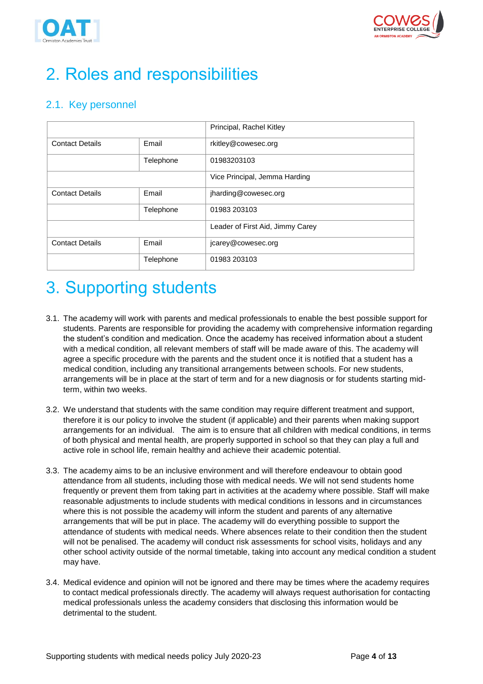



# <span id="page-3-0"></span>2. Roles and responsibilities

### <span id="page-3-1"></span>2.1. Key personnel

|                        |           | Principal, Rachel Kitley         |
|------------------------|-----------|----------------------------------|
| <b>Contact Details</b> | Email     | rkitley@cowesec.org              |
|                        | Telephone | 01983203103                      |
|                        |           | Vice Principal, Jemma Harding    |
| <b>Contact Details</b> | Email     | jharding@cowesec.org             |
|                        | Telephone | 01983 203103                     |
|                        |           | Leader of First Aid, Jimmy Carey |
| <b>Contact Details</b> | Email     | jcarey@cowesec.org               |
|                        | Telephone | 01983 203103                     |

## <span id="page-3-2"></span>3. Supporting students

- 3.1. The academy will work with parents and medical professionals to enable the best possible support for students. Parents are responsible for providing the academy with comprehensive information regarding the student's condition and medication. Once the academy has received information about a student with a medical condition, all relevant members of staff will be made aware of this. The academy will agree a specific procedure with the parents and the student once it is notified that a student has a medical condition, including any transitional arrangements between schools. For new students, arrangements will be in place at the start of term and for a new diagnosis or for students starting midterm, within two weeks.
- 3.2. We understand that students with the same condition may require different treatment and support, therefore it is our policy to involve the student (if applicable) and their parents when making support arrangements for an individual. The aim is to ensure that all children with medical conditions, in terms of both physical and mental health, are properly supported in school so that they can play a full and active role in school life, remain healthy and achieve their academic potential.
- 3.3. The academy aims to be an inclusive environment and will therefore endeavour to obtain good attendance from all students, including those with medical needs. We will not send students home frequently or prevent them from taking part in activities at the academy where possible. Staff will make reasonable adjustments to include students with medical conditions in lessons and in circumstances where this is not possible the academy will inform the student and parents of any alternative arrangements that will be put in place. The academy will do everything possible to support the attendance of students with medical needs. Where absences relate to their condition then the student will not be penalised. The academy will conduct risk assessments for school visits, holidays and any other school activity outside of the normal timetable, taking into account any medical condition a student may have.
- 3.4. Medical evidence and opinion will not be ignored and there may be times where the academy requires to contact medical professionals directly. The academy will always request authorisation for contacting medical professionals unless the academy considers that disclosing this information would be detrimental to the student.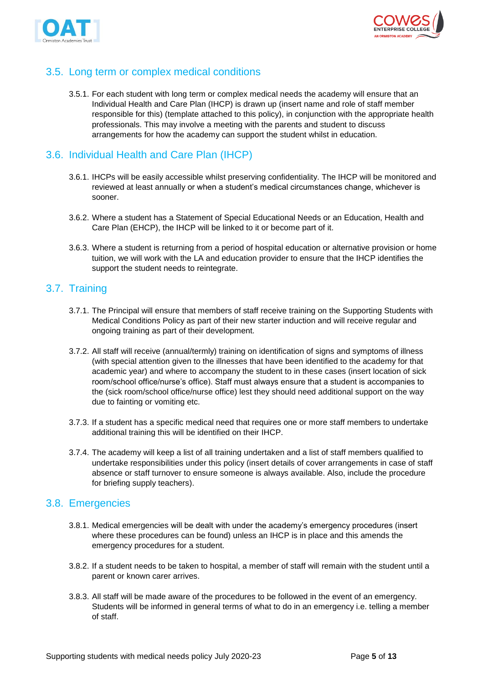



### <span id="page-4-0"></span>3.5. Long term or complex medical conditions

3.5.1. For each student with long term or complex medical needs the academy will ensure that an Individual Health and Care Plan (IHCP) is drawn up (insert name and role of staff member responsible for this) (template attached to this policy), in conjunction with the appropriate health professionals. This may involve a meeting with the parents and student to discuss arrangements for how the academy can support the student whilst in education.

### <span id="page-4-1"></span>3.6. Individual Health and Care Plan (IHCP)

- 3.6.1. IHCPs will be easily accessible whilst preserving confidentiality. The IHCP will be monitored and reviewed at least annually or when a student's medical circumstances change, whichever is sooner.
- 3.6.2. Where a student has a Statement of Special Educational Needs or an Education, Health and Care Plan (EHCP), the IHCP will be linked to it or become part of it.
- 3.6.3. Where a student is returning from a period of hospital education or alternative provision or home tuition, we will work with the LA and education provider to ensure that the IHCP identifies the support the student needs to reintegrate.

### <span id="page-4-2"></span>3.7. Training

- 3.7.1. The Principal will ensure that members of staff receive training on the Supporting Students with Medical Conditions Policy as part of their new starter induction and will receive regular and ongoing training as part of their development.
- 3.7.2. All staff will receive (annual/termly) training on identification of signs and symptoms of illness (with special attention given to the illnesses that have been identified to the academy for that academic year) and where to accompany the student to in these cases (insert location of sick room/school office/nurse's office). Staff must always ensure that a student is accompanies to the (sick room/school office/nurse office) lest they should need additional support on the way due to fainting or vomiting etc.
- 3.7.3. If a student has a specific medical need that requires one or more staff members to undertake additional training this will be identified on their IHCP.
- 3.7.4. The academy will keep a list of all training undertaken and a list of staff members qualified to undertake responsibilities under this policy (insert details of cover arrangements in case of staff absence or staff turnover to ensure someone is always available. Also, include the procedure for briefing supply teachers).

### <span id="page-4-3"></span>3.8. Emergencies

- 3.8.1. Medical emergencies will be dealt with under the academy's emergency procedures (insert where these procedures can be found) unless an IHCP is in place and this amends the emergency procedures for a student.
- 3.8.2. If a student needs to be taken to hospital, a member of staff will remain with the student until a parent or known carer arrives.
- 3.8.3. All staff will be made aware of the procedures to be followed in the event of an emergency. Students will be informed in general terms of what to do in an emergency i.e. telling a member of staff.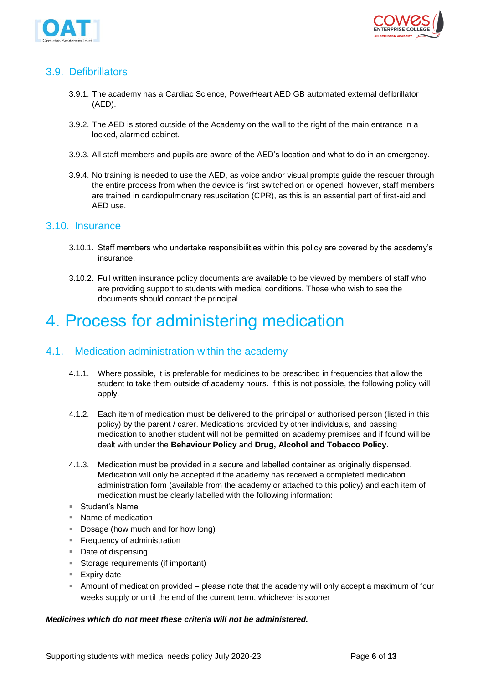



### <span id="page-5-0"></span>3.9. Defibrillators

- 3.9.1. The academy has a Cardiac Science, PowerHeart AED GB automated external defibrillator (AED).
- 3.9.2. The AED is stored outside of the Academy on the wall to the right of the main entrance in a locked, alarmed cabinet.
- 3.9.3. All staff members and pupils are aware of the AED's location and what to do in an emergency.
- 3.9.4. No training is needed to use the AED, as voice and/or visual prompts guide the rescuer through the entire process from when the device is first switched on or opened; however, staff members are trained in cardiopulmonary resuscitation (CPR), as this is an essential part of first-aid and AED use.

#### <span id="page-5-1"></span>3.10. Insurance

- 3.10.1. Staff members who undertake responsibilities within this policy are covered by the academy's insurance.
- 3.10.2. Full written insurance policy documents are available to be viewed by members of staff who are providing support to students with medical conditions. Those who wish to see the documents should contact the principal.

## <span id="page-5-2"></span>4. Process for administering medication

### <span id="page-5-3"></span>4.1. Medication administration within the academy

- 4.1.1. Where possible, it is preferable for medicines to be prescribed in frequencies that allow the student to take them outside of academy hours. If this is not possible, the following policy will apply.
- 4.1.2. Each item of medication must be delivered to the principal or authorised person (listed in this policy) by the parent / carer. Medications provided by other individuals, and passing medication to another student will not be permitted on academy premises and if found will be dealt with under the **Behaviour Policy** and **Drug, Alcohol and Tobacco Policy**.
- 4.1.3. Medication must be provided in a secure and labelled container as originally dispensed. Medication will only be accepted if the academy has received a completed medication administration form (available from the academy or attached to this policy) and each item of medication must be clearly labelled with the following information:
- Student's Name
- Name of medication
- Dosage (how much and for how long)
- **Example 1** Frequency of administration
- Date of dispensing
- Storage requirements (if important)
- Expiry date
- **EXED Amount of medication provided please note that the academy will only accept a maximum of four** weeks supply or until the end of the current term, whichever is sooner

#### *Medicines which do not meet these criteria will not be administered.*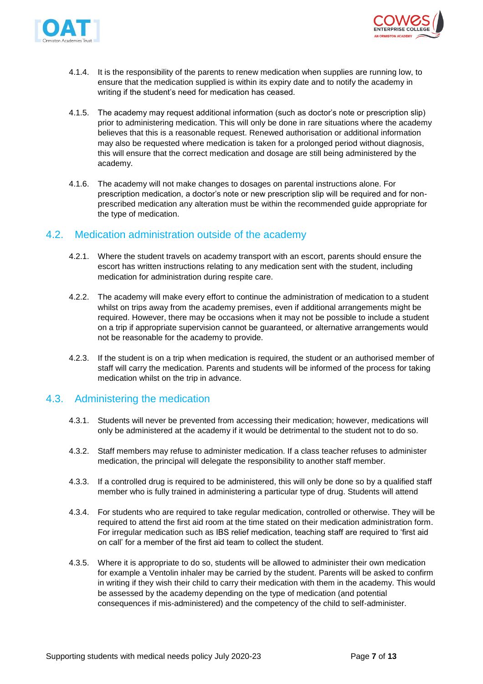



- 4.1.4. It is the responsibility of the parents to renew medication when supplies are running low, to ensure that the medication supplied is within its expiry date and to notify the academy in writing if the student's need for medication has ceased.
- 4.1.5. The academy may request additional information (such as doctor's note or prescription slip) prior to administering medication. This will only be done in rare situations where the academy believes that this is a reasonable request. Renewed authorisation or additional information may also be requested where medication is taken for a prolonged period without diagnosis, this will ensure that the correct medication and dosage are still being administered by the academy.
- 4.1.6. The academy will not make changes to dosages on parental instructions alone. For prescription medication, a doctor's note or new prescription slip will be required and for nonprescribed medication any alteration must be within the recommended guide appropriate for the type of medication.

### <span id="page-6-0"></span>4.2. Medication administration outside of the academy

- 4.2.1. Where the student travels on academy transport with an escort, parents should ensure the escort has written instructions relating to any medication sent with the student, including medication for administration during respite care.
- 4.2.2. The academy will make every effort to continue the administration of medication to a student whilst on trips away from the academy premises, even if additional arrangements might be required. However, there may be occasions when it may not be possible to include a student on a trip if appropriate supervision cannot be guaranteed, or alternative arrangements would not be reasonable for the academy to provide.
- 4.2.3. If the student is on a trip when medication is required, the student or an authorised member of staff will carry the medication. Parents and students will be informed of the process for taking medication whilst on the trip in advance.

### <span id="page-6-1"></span>4.3. Administering the medication

- 4.3.1. Students will never be prevented from accessing their medication; however, medications will only be administered at the academy if it would be detrimental to the student not to do so.
- 4.3.2. Staff members may refuse to administer medication. If a class teacher refuses to administer medication, the principal will delegate the responsibility to another staff member.
- 4.3.3. If a controlled drug is required to be administered, this will only be done so by a qualified staff member who is fully trained in administering a particular type of drug. Students will attend
- 4.3.4. For students who are required to take regular medication, controlled or otherwise. They will be required to attend the first aid room at the time stated on their medication administration form. For irregular medication such as IBS relief medication, teaching staff are required to 'first aid on call' for a member of the first aid team to collect the student.
- 4.3.5. Where it is appropriate to do so, students will be allowed to administer their own medication for example a Ventolin inhaler may be carried by the student. Parents will be asked to confirm in writing if they wish their child to carry their medication with them in the academy. This would be assessed by the academy depending on the type of medication (and potential consequences if mis-administered) and the competency of the child to self-administer.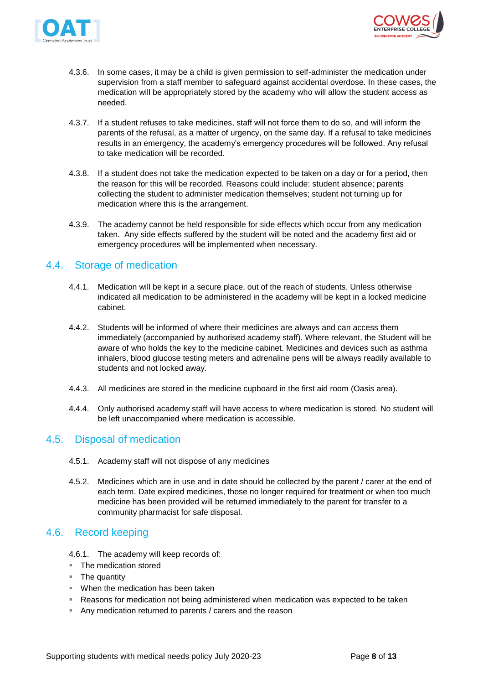



- 4.3.6. In some cases, it may be a child is given permission to self-administer the medication under supervision from a staff member to safeguard against accidental overdose. In these cases, the medication will be appropriately stored by the academy who will allow the student access as needed.
- 4.3.7. If a student refuses to take medicines, staff will not force them to do so, and will inform the parents of the refusal, as a matter of urgency, on the same day. If a refusal to take medicines results in an emergency, the academy's emergency procedures will be followed. Any refusal to take medication will be recorded.
- 4.3.8. If a student does not take the medication expected to be taken on a day or for a period, then the reason for this will be recorded. Reasons could include: student absence; parents collecting the student to administer medication themselves; student not turning up for medication where this is the arrangement.
- 4.3.9. The academy cannot be held responsible for side effects which occur from any medication taken. Any side effects suffered by the student will be noted and the academy first aid or emergency procedures will be implemented when necessary.

### <span id="page-7-0"></span>4.4. Storage of medication

- 4.4.1. Medication will be kept in a secure place, out of the reach of students. Unless otherwise indicated all medication to be administered in the academy will be kept in a locked medicine cabinet.
- 4.4.2. Students will be informed of where their medicines are always and can access them immediately (accompanied by authorised academy staff). Where relevant, the Student will be aware of who holds the key to the medicine cabinet. Medicines and devices such as asthma inhalers, blood glucose testing meters and adrenaline pens will be always readily available to students and not locked away.
- 4.4.3. All medicines are stored in the medicine cupboard in the first aid room (Oasis area).
- 4.4.4. Only authorised academy staff will have access to where medication is stored. No student will be left unaccompanied where medication is accessible.

### <span id="page-7-1"></span>4.5. Disposal of medication

- 4.5.1. Academy staff will not dispose of any medicines
- 4.5.2. Medicines which are in use and in date should be collected by the parent / carer at the end of each term. Date expired medicines, those no longer required for treatment or when too much medicine has been provided will be returned immediately to the parent for transfer to a community pharmacist for safe disposal.

### <span id="page-7-2"></span>4.6. Record keeping

- 4.6.1. The academy will keep records of:
- The medication stored
- The quantity
- When the medication has been taken
- **EXE** Reasons for medication not being administered when medication was expected to be taken
- Any medication returned to parents / carers and the reason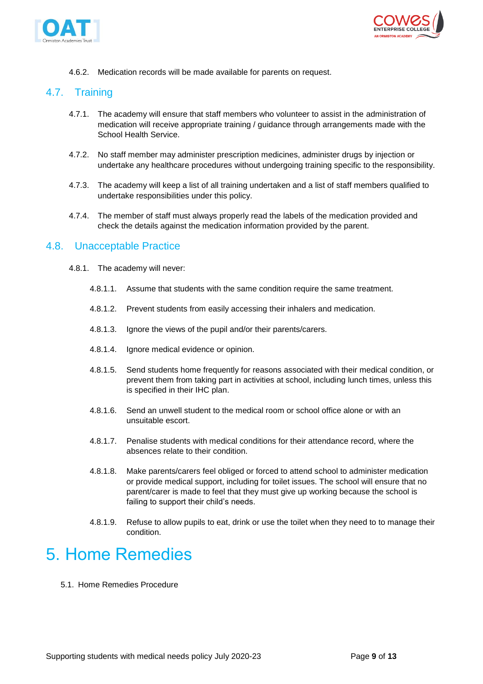



4.6.2. Medication records will be made available for parents on request.

### <span id="page-8-0"></span>4.7. Training

- 4.7.1. The academy will ensure that staff members who volunteer to assist in the administration of medication will receive appropriate training / guidance through arrangements made with the School Health Service.
- 4.7.2. No staff member may administer prescription medicines, administer drugs by injection or undertake any healthcare procedures without undergoing training specific to the responsibility.
- 4.7.3. The academy will keep a list of all training undertaken and a list of staff members qualified to undertake responsibilities under this policy.
- 4.7.4. The member of staff must always properly read the labels of the medication provided and check the details against the medication information provided by the parent.

### <span id="page-8-1"></span>4.8. Unacceptable Practice

- 4.8.1. The academy will never:
	- 4.8.1.1. Assume that students with the same condition require the same treatment.
	- 4.8.1.2. Prevent students from easily accessing their inhalers and medication.
	- 4.8.1.3. Ignore the views of the pupil and/or their parents/carers.
	- 4.8.1.4. Ignore medical evidence or opinion.
	- 4.8.1.5. Send students home frequently for reasons associated with their medical condition, or prevent them from taking part in activities at school, including lunch times, unless this is specified in their IHC plan.
	- 4.8.1.6. Send an unwell student to the medical room or school office alone or with an unsuitable escort.
	- 4.8.1.7. Penalise students with medical conditions for their attendance record, where the absences relate to their condition.
	- 4.8.1.8. Make parents/carers feel obliged or forced to attend school to administer medication or provide medical support, including for toilet issues. The school will ensure that no parent/carer is made to feel that they must give up working because the school is failing to support their child's needs.
	- 4.8.1.9. Refuse to allow pupils to eat, drink or use the toilet when they need to to manage their condition.

## <span id="page-8-2"></span>5. Home Remedies

5.1. Home Remedies Procedure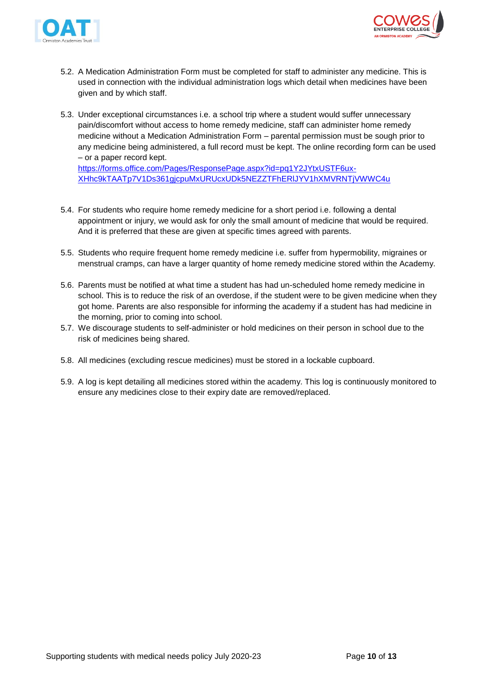



- 5.2. A Medication Administration Form must be completed for staff to administer any medicine. This is used in connection with the individual administration logs which detail when medicines have been given and by which staff.
- 5.3. Under exceptional circumstances i.e. a school trip where a student would suffer unnecessary pain/discomfort without access to home remedy medicine, staff can administer home remedy medicine without a Medication Administration Form – parental permission must be sough prior to any medicine being administered, a full record must be kept. The online recording form can be used – or a paper record kept.

[https://forms.office.com/Pages/ResponsePage.aspx?id=pq1Y2JYtxUSTF6ux-](https://forms.office.com/Pages/ResponsePage.aspx?id=pq1Y2JYtxUSTF6ux-XHhc9kTAATp7V1Ds361gjcpuMxURUcxUDk5NEZZTFhERlJYV1hXMVRNTjVWWC4u)[XHhc9kTAATp7V1Ds361gjcpuMxURUcxUDk5NEZZTFhERlJYV1hXMVRNTjVWWC4u](https://forms.office.com/Pages/ResponsePage.aspx?id=pq1Y2JYtxUSTF6ux-XHhc9kTAATp7V1Ds361gjcpuMxURUcxUDk5NEZZTFhERlJYV1hXMVRNTjVWWC4u)

- 5.4. For students who require home remedy medicine for a short period i.e. following a dental appointment or injury, we would ask for only the small amount of medicine that would be required. And it is preferred that these are given at specific times agreed with parents.
- 5.5. Students who require frequent home remedy medicine i.e. suffer from hypermobility, migraines or menstrual cramps, can have a larger quantity of home remedy medicine stored within the Academy.
- 5.6. Parents must be notified at what time a student has had un-scheduled home remedy medicine in school. This is to reduce the risk of an overdose, if the student were to be given medicine when they got home. Parents are also responsible for informing the academy if a student has had medicine in the morning, prior to coming into school.
- 5.7. We discourage students to self-administer or hold medicines on their person in school due to the risk of medicines being shared.
- 5.8. All medicines (excluding rescue medicines) must be stored in a lockable cupboard.
- 5.9. A log is kept detailing all medicines stored within the academy. This log is continuously monitored to ensure any medicines close to their expiry date are removed/replaced.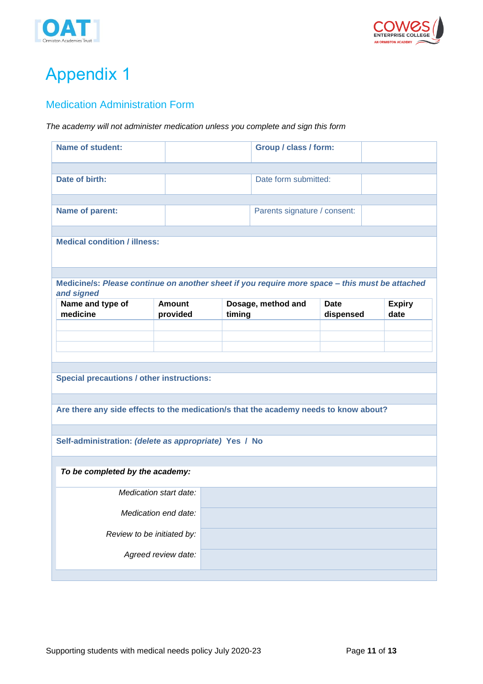



# <span id="page-10-0"></span>Appendix 1

### <span id="page-10-1"></span>Medication Administration Form

#### *The academy will not administer medication unless you complete and sign this form*

| <b>Name of student:</b>                               |                           | Group / class / form:                                                                          |                          |                       |
|-------------------------------------------------------|---------------------------|------------------------------------------------------------------------------------------------|--------------------------|-----------------------|
|                                                       |                           |                                                                                                |                          |                       |
| Date of birth:                                        |                           | Date form submitted:                                                                           |                          |                       |
| Name of parent:                                       |                           | Parents signature / consent:                                                                   |                          |                       |
|                                                       |                           |                                                                                                |                          |                       |
| <b>Medical condition / illness:</b>                   |                           |                                                                                                |                          |                       |
| and signed                                            |                           | Medicine/s: Please continue on another sheet if you require more space - this must be attached |                          |                       |
| Name and type of<br>medicine                          | <b>Amount</b><br>provided | Dosage, method and<br>timing                                                                   | <b>Date</b><br>dispensed | <b>Expiry</b><br>date |
|                                                       |                           |                                                                                                |                          |                       |
|                                                       |                           |                                                                                                |                          |                       |
|                                                       |                           |                                                                                                |                          |                       |
| <b>Special precautions / other instructions:</b>      |                           |                                                                                                |                          |                       |
|                                                       |                           | Are there any side effects to the medication/s that the academy needs to know about?           |                          |                       |
|                                                       |                           |                                                                                                |                          |                       |
| Self-administration: (delete as appropriate) Yes / No |                           |                                                                                                |                          |                       |
|                                                       |                           |                                                                                                |                          |                       |
| To be completed by the academy:                       |                           |                                                                                                |                          |                       |
| Medication start date:                                |                           |                                                                                                |                          |                       |
| Medication end date:                                  |                           |                                                                                                |                          |                       |
| Review to be initiated by:                            |                           |                                                                                                |                          |                       |
| Agreed review date:                                   |                           |                                                                                                |                          |                       |
|                                                       |                           |                                                                                                |                          |                       |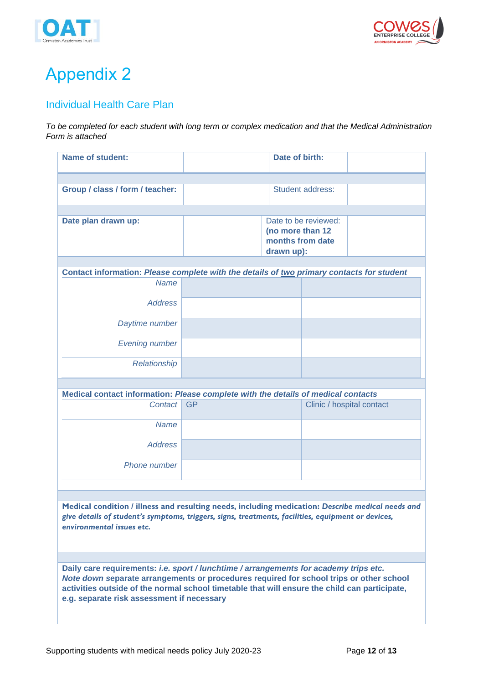



# <span id="page-11-0"></span>Appendix 2

### <span id="page-11-1"></span>Individual Health Care Plan

*To be completed for each student with long term or complex medication and that the Medical Administration Form is attached*

| <b>Name of student:</b>                                                                                                                                                                                                              | Date of birth:                                                             |  |                           |
|--------------------------------------------------------------------------------------------------------------------------------------------------------------------------------------------------------------------------------------|----------------------------------------------------------------------------|--|---------------------------|
|                                                                                                                                                                                                                                      |                                                                            |  |                           |
| Group / class / form / teacher:                                                                                                                                                                                                      | Student address:                                                           |  |                           |
|                                                                                                                                                                                                                                      |                                                                            |  |                           |
| Date plan drawn up:                                                                                                                                                                                                                  | Date to be reviewed:<br>(no more than 12<br>months from date<br>drawn up): |  |                           |
|                                                                                                                                                                                                                                      |                                                                            |  |                           |
| Contact information: Please complete with the details of two primary contacts for student                                                                                                                                            |                                                                            |  |                           |
| <b>Name</b>                                                                                                                                                                                                                          |                                                                            |  |                           |
| <b>Address</b>                                                                                                                                                                                                                       |                                                                            |  |                           |
| Daytime number                                                                                                                                                                                                                       |                                                                            |  |                           |
| <b>Evening number</b>                                                                                                                                                                                                                |                                                                            |  |                           |
| Relationship                                                                                                                                                                                                                         |                                                                            |  |                           |
|                                                                                                                                                                                                                                      |                                                                            |  |                           |
| Medical contact information: Please complete with the details of medical contacts                                                                                                                                                    |                                                                            |  |                           |
| Contact                                                                                                                                                                                                                              | <b>GP</b>                                                                  |  | Clinic / hospital contact |
| <b>Name</b>                                                                                                                                                                                                                          |                                                                            |  |                           |
| <b>Address</b>                                                                                                                                                                                                                       |                                                                            |  |                           |
| Phone number                                                                                                                                                                                                                         |                                                                            |  |                           |
|                                                                                                                                                                                                                                      |                                                                            |  |                           |
|                                                                                                                                                                                                                                      |                                                                            |  |                           |
| Medical condition / illness and resulting needs, including medication: Describe medical needs and<br>give details of student's symptoms, triggers, signs, treatments, facilities, equipment or devices,<br>environmental issues etc. |                                                                            |  |                           |
|                                                                                                                                                                                                                                      |                                                                            |  |                           |

**Daily care requirements:** *i.e. sport / lunchtime / arrangements for academy trips etc. Note down s***eparate arrangements or procedures required for school trips or other school activities outside of the normal school timetable that will ensure the child can participate, e.g. separate risk assessment if necessary**